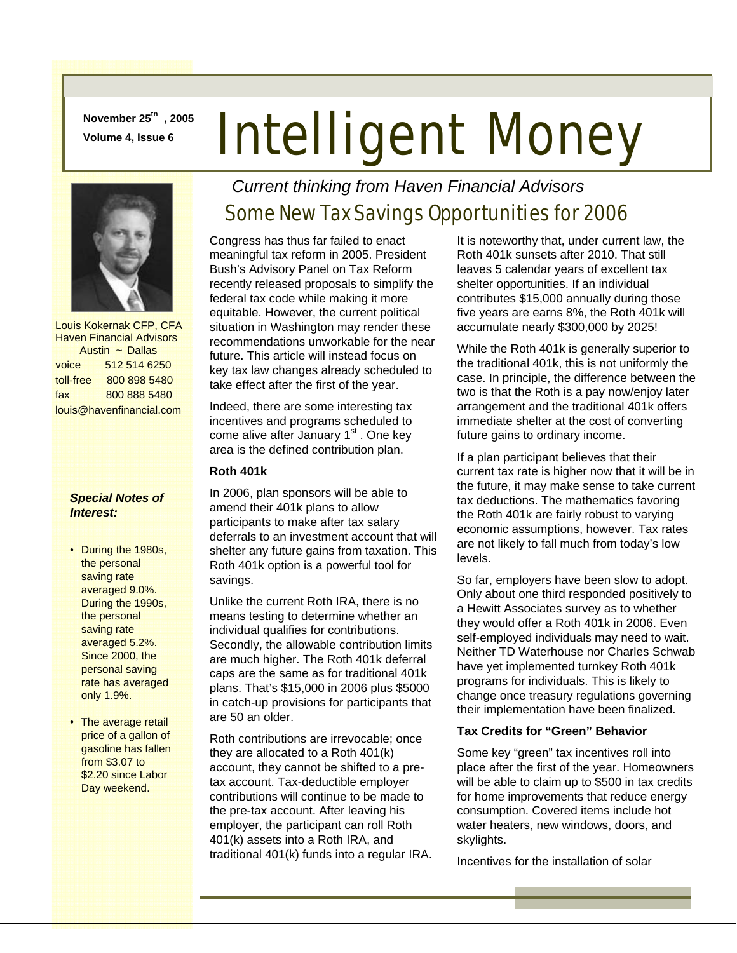**November 25th , 2005** 

# **November 25<sup>th</sup>, 2005** Intelligent Money



 Louis Kokernak CFP, CFA Haven Financial Advisors Austin ~ Dallas voice 512 514 6250 toll-free 800 898 5480 fax 800 888 5480 louis@havenfinancial.com

#### *Special Notes of Interest:*

- During the 1980s, the personal saving rate averaged 9.0%. During the 1990s, the personal saving rate averaged 5.2%. Since 2000, the personal saving rate has averaged only 1.9%.
- The average retail price of a gallon of gasoline has fallen from \$3.07 to \$2.20 since Labor Day weekend.

## *Current thinking from Haven Financial Advisors*

# Some New Tax Savings Opportunities for 2006

Congress has thus far failed to enact meaningful tax reform in 2005. President Bush's Advisory Panel on Tax Reform recently released proposals to simplify the federal tax code while making it more equitable. However, the current political situation in Washington may render these recommendations unworkable for the near future. This article will instead focus on key tax law changes already scheduled to take effect after the first of the year.

Indeed, there are some interesting tax incentives and programs scheduled to come alive after January  $1<sup>st</sup>$ . One key area is the defined contribution plan.

#### **Roth 401k**

In 2006, plan sponsors will be able to amend their 401k plans to allow participants to make after tax salary deferrals to an investment account that will shelter any future gains from taxation. This Roth 401k option is a powerful tool for savings.

Unlike the current Roth IRA, there is no means testing to determine whether an individual qualifies for contributions. Secondly, the allowable contribution limits are much higher. The Roth 401k deferral caps are the same as for traditional 401k plans. That's \$15,000 in 2006 plus \$5000 in catch-up provisions for participants that are 50 an older.

Roth contributions are irrevocable; once they are allocated to a Roth 401(k) account, they cannot be shifted to a pretax account. Tax-deductible employer contributions will continue to be made to the pre-tax account. After leaving his employer, the participant can roll Roth 401(k) assets into a Roth IRA, and traditional 401(k) funds into a regular IRA. It is noteworthy that, under current law, the Roth 401k sunsets after 2010. That still leaves 5 calendar years of excellent tax shelter opportunities. If an individual contributes \$15,000 annually during those five years are earns 8%, the Roth 401k will accumulate nearly \$300,000 by 2025!

While the Roth 401k is generally superior to the traditional 401k, this is not uniformly the case. In principle, the difference between the two is that the Roth is a pay now/enjoy later arrangement and the traditional 401k offers immediate shelter at the cost of converting future gains to ordinary income.

If a plan participant believes that their current tax rate is higher now that it will be in the future, it may make sense to take current tax deductions. The mathematics favoring the Roth 401k are fairly robust to varying economic assumptions, however. Tax rates are not likely to fall much from today's low levels.

So far, employers have been slow to adopt. Only about one third responded positively to a Hewitt Associates survey as to whether they would offer a Roth 401k in 2006. Even self-employed individuals may need to wait. Neither TD Waterhouse nor Charles Schwab have yet implemented turnkey Roth 401k programs for individuals. This is likely to change once treasury regulations governing their implementation have been finalized.

#### **Tax Credits for "Green" Behavior**

Some key "green" tax incentives roll into place after the first of the year. Homeowners will be able to claim up to \$500 in tax credits for home improvements that reduce energy consumption. Covered items include hot water heaters, new windows, doors, and skylights.

Incentives for the installation of solar